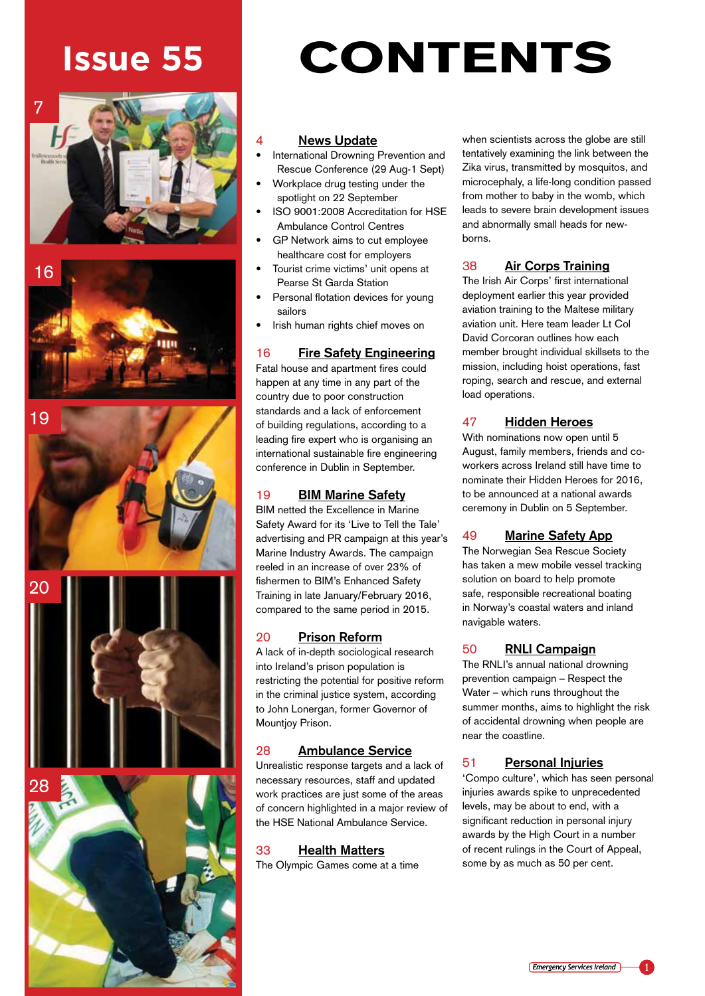## **Issue 55**











# CONTENTS

#### **News Update**

- International Drowning Prevention and Rescue Conference (29 Aug-1 Sept)
- Workplace drug testing under the spotlight on 22 September
- ISO 9001:2008 Accreditation for HSE Ambulance Control Centres
- GP Network aims to cut employee healthcare cost for employers
- Tourist crime victims' unit opens at Pearse St Garda Station
- Personal flotation devices for young sailors
- Irish human rights chief moves on

### 16 **Fire Safety Engineering**

Fatal house and apartment fires could happen at any time in any part of the country due to poor construction standards and a lack of enforcement of building regulations, according to a leading fire expert who is organising an international sustainable fire engineering conference in Dublin in September.

#### 19 **BIM Marine Safety**

BIM netted the Excellence in Marine Safety Award for its 'Live to Tell the Tale' advertising and PR campaign at this year's Marine Industry Awards. The campaign reeled in an increase of over 23% of fishermen to BIM's Enhanced Safety Training in late January/February 2016, compared to the same period in 2015.

#### 20 **Prison Reform**

A lack of in-depth sociological research into Ireland's prison population is restricting the potential for positive reform in the criminal justice system, according to John Lonergan, former Governor of Mountjoy Prison.

#### 28 **Ambulance Service**

Unrealistic response targets and a lack of necessary resources, staff and updated work practices are just some of the areas of concern highlighted in a major review of the HSE National Ambulance Service.

#### 33 **Health Matters**

The Olympic Games come at a time

when scientists across the globe are still tentatively examining the link between the Zika virus, transmitted by mosquitos, and microcephaly, a life-long condition passed from mother to baby in the womb, which leads to severe brain development issues and abnormally small heads for newborns.

#### 38 **Air Corps Training**

The Irish Air Corps' first international deployment earlier this year provided aviation training to the Maltese military aviation unit. Here team leader Lt Col David Corcoran outlines how each member brought individual skillsets to the mission, including hoist operations, fast roping, search and rescue, and external load operations.

#### 47 **Hidden Heroes**

With nominations now open until 5 August, family members, friends and coworkers across Ireland still have time to nominate their Hidden Heroes for 2016, to be announced at a national awards ceremony in Dublin on 5 September.

#### 49 **Marine Safety App**

The Norwegian Sea Rescue Society has taken a mew mobile vessel tracking solution on board to help promote safe, responsible recreational boating in Norway's coastal waters and inland navigable waters.

#### 50 **RNLI Campaign**

The RNLI's annual national drowning prevention campaign – Respect the Water – which runs throughout the summer months, aims to highlight the risk of accidental drowning when people are near the coastline.

#### 51 **Personal Injuries**

'Compo culture', which has seen personal injuries awards spike to unprecedented levels, may be about to end, with a significant reduction in personal injury awards by the High Court in a number of recent rulings in the Court of Appeal, some by as much as 50 per cent.